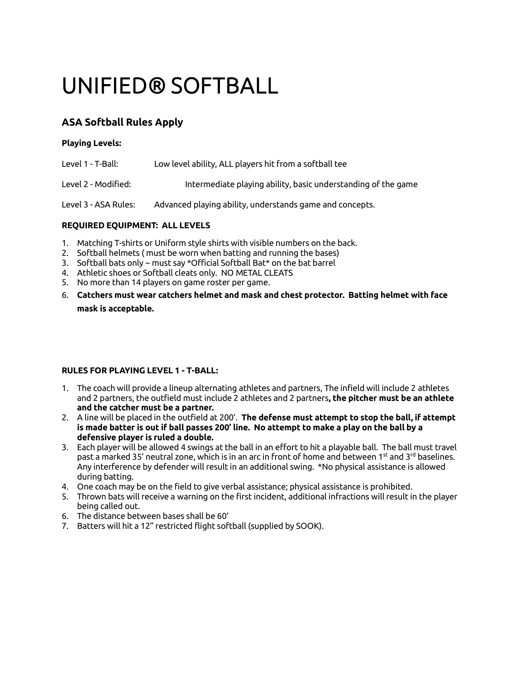# UNIFIED® SOFTBALL

# **ASA Softball Rules Apply**

### **Playing Levels:**

| Level 1 - T-Ball:    | Low level ability, ALL players hit from a softball tee        |
|----------------------|---------------------------------------------------------------|
| Level 2 - Modified:  | Intermediate playing ability, basic understanding of the game |
| Level 3 - ASA Rules: | Advanced playing ability, understands game and concepts.      |

## **REQUIRED EQUIPMENT: ALL LEVELS**

- 1. Matching T-shirts or Uniform style shirts with visible numbers on the back.
- 2. Softball helmets ( must be worn when batting and running the bases)
- 3. Softball bats only ~ must say \*Official Softball Bat\* on the bat barrel
- 4. Athletic shoes or Softball cleats only. NO METAL CLEATS
- 5. No more than 14 players on game roster per game.
- 6. **Catchers must wear catchers helmet and mask and chest protector. Batting helmet with face mask is acceptable.**

#### **RULES FOR PLAYING LEVEL 1 - T-BALL:**

- 1. The coach will provide a lineup alternating athletes and partners, The infield will include 2 athletes and 2 partners, the outfield must include 2 athletes and 2 partners**, the pitcher must be an athlete and the catcher must be a partner.**
- 2. A line will be placed in the outfield at 200'. **The defense must attempt to stop the ball, if attempt is made batter is out if ball passes 200' line. No attempt to make a play on the ball by a defensive player is ruled a double.**
- 3. Each player will be allowed 4 swings at the ball in an effort to hit a playable ball. The ball must travel past a marked 35' neutral zone, which is in an arc in front of home and between 1st and 3<sup>rd</sup> baselines. Any interference by defender will result in an additional swing. \*No physical assistance is allowed during batting.
- 4. One coach may be on the field to give verbal assistance; physical assistance is prohibited.
- 5. Thrown bats will receive a warning on the first incident, additional infractions will result in the player being called out.
- 6. The distance between bases shall be 60'
- 7. Batters will hit a 12" restricted flight softball (supplied by SOOK).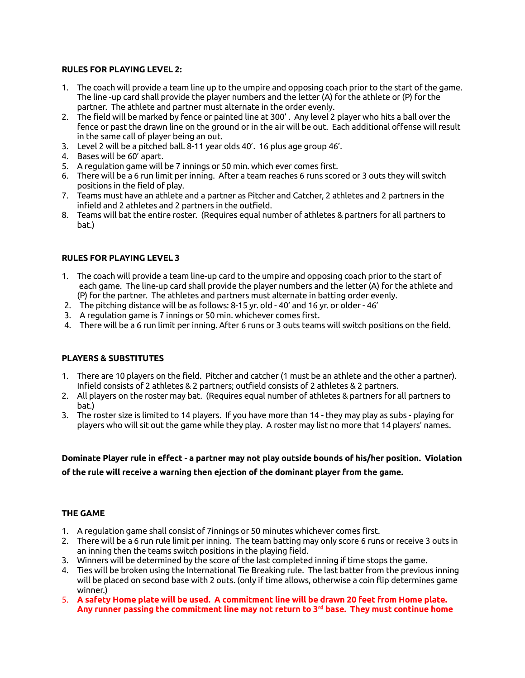#### **RULES FOR PLAYING LEVEL 2:**

- 1. The coach will provide a team line up to the umpire and opposing coach prior to the start of the game. The line -up card shall provide the player numbers and the letter (A) for the athlete or (P) for the partner. The athlete and partner must alternate in the order evenly.
- 2. The field will be marked by fence or painted line at 300' . Any level 2 player who hits a ball over the fence or past the drawn line on the ground or in the air will be out. Each additional offense will result in the same call of player being an out.
- 3. Level 2 will be a pitched ball. 8-11 year olds 40'. 16 plus age group 46'.
- 4. Bases will be 60' apart.
- 5. A regulation game will be 7 innings or 50 min. which ever comes first.
- 6. There will be a 6 run limit per inning. After a team reaches 6 runs scored or 3 outs they will switch positions in the field of play.
- 7. Teams must have an athlete and a partner as Pitcher and Catcher, 2 athletes and 2 partners in the infield and 2 athletes and 2 partners in the outfield.
- 8. Teams will bat the entire roster. (Requires equal number of athletes & partners for all partners to bat.)

#### **RULES FOR PLAYING LEVEL 3**

- 1. The coach will provide a team line-up card to the umpire and opposing coach prior to the start of each game. The line-up card shall provide the player numbers and the letter (A) for the athlete and (P) for the partner. The athletes and partners must alternate in batting order evenly.
- 2. The pitching distance will be as follows: 8-15 yr. old 40' and 16 yr. or older 46'
- 3. A regulation game is 7 innings or 50 min. whichever comes first.
- 4. There will be a 6 run limit per inning. After 6 runs or 3 outs teams will switch positions on the field.

#### **PLAYERS & SUBSTITUTES**

- 1. There are 10 players on the field. Pitcher and catcher (1 must be an athlete and the other a partner). Infield consists of 2 athletes & 2 partners; outfield consists of 2 athletes & 2 partners.
- 2. All players on the roster may bat. (Requires equal number of athletes & partners for all partners to bat.)
- 3. The roster size is limited to 14 players. If you have more than 14 they may play as subs playing for players who will sit out the game while they play. A roster may list no more that 14 players' names.

**Dominate Player rule in effect - a partner may not play outside bounds of his/her position. Violation of the rule will receive a warning then ejection of the dominant player from the game.**

#### **THE GAME**

- 1. A regulation game shall consist of 7innings or 50 minutes whichever comes first.
- 2. There will be a 6 run rule limit per inning. The team batting may only score 6 runs or receive 3 outs in an inning then the teams switch positions in the playing field.
- 3. Winners will be determined by the score of the last completed inning if time stops the game.
- 4. Ties will be broken using the International Tie Breaking rule. The last batter from the previous inning will be placed on second base with 2 outs. (only if time allows, otherwise a coin flip determines game winner.)
- 5. **A safety Home plate will be used. A commitment line will be drawn 20 feet from Home plate. Any runner passing the commitment line may not return to 3rd base. They must continue home**